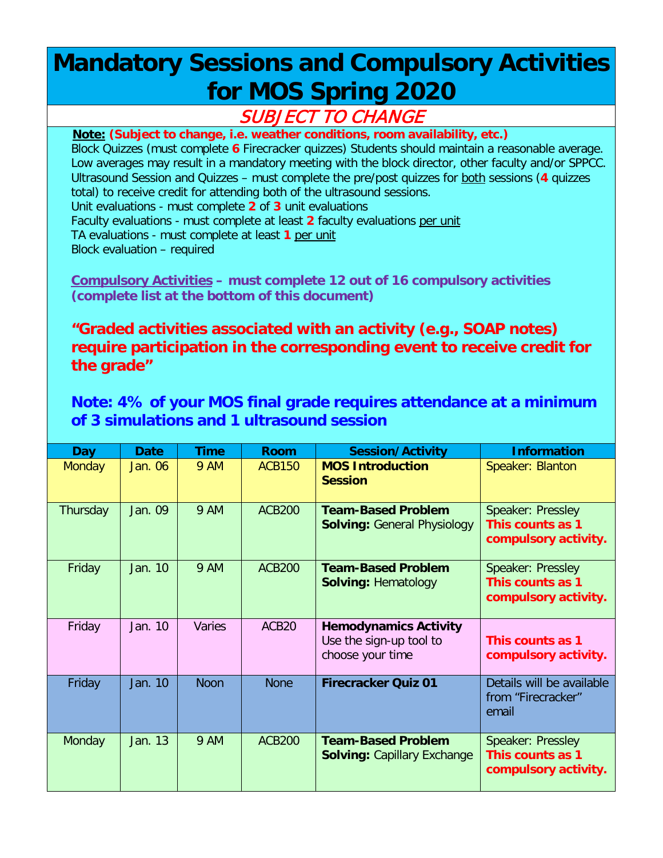## **Mandatory Sessions and Compulsory Activities for MOS Spring 2020**

## SUBJECT TO CHANGE

**Note: (Subject to change, i.e. weather conditions, room availability, etc.)** Block Quizzes (must complete **6** Firecracker quizzes) Students should maintain a reasonable average. Low averages may result in a mandatory meeting with the block director, other faculty and/or SPPCC. Ultrasound Session and Quizzes – must complete the pre/post quizzes for both sessions (**4** quizzes total) to receive credit for attending both of the ultrasound sessions. Unit evaluations - must complete **2** of **3** unit evaluations Faculty evaluations - must complete at least **2** faculty evaluations per unit TA evaluations - must complete at least **1** per unit Block evaluation – required

**Compulsory Activities – must complete 12 out of 16 compulsory activities (complete list at the bottom of this document)**

**"Graded activities associated with an activity (e.g., SOAP notes) require participation in the corresponding event to receive credit for the grade"**

**Note: 4% of your MOS final grade requires attendance at a minimum of 3 simulations and 1 ultrasound session**

| Day           | <b>Date</b> | <b>Time</b> | <b>Room</b>       | <b>Session/Activity</b>                                                     | <b>Information</b>                                            |
|---------------|-------------|-------------|-------------------|-----------------------------------------------------------------------------|---------------------------------------------------------------|
| <b>Monday</b> | Jan. 06     | 9 AM        | ACB150            | <b>MOS Introduction</b><br><b>Session</b>                                   | Speaker: Blanton                                              |
| Thursday      | Jan. 09     | <b>9 AM</b> | <b>ACB200</b>     | <b>Team-Based Problem</b><br><b>Solving: General Physiology</b>             | Speaker: Pressley<br>This counts as 1<br>compulsory activity. |
| Friday        | Jan. 10     | <b>9 AM</b> | <b>ACB200</b>     | <b>Team-Based Problem</b><br><b>Solving: Hematology</b>                     | Speaker: Pressley<br>This counts as 1<br>compulsory activity. |
| Friday        | Jan. 10     | Varies      | ACB <sub>20</sub> | <b>Hemodynamics Activity</b><br>Use the sign-up tool to<br>choose your time | This counts as 1<br>compulsory activity.                      |
| Friday        | Jan. 10     | <b>Noon</b> | <b>None</b>       | <b>Firecracker Quiz 01</b>                                                  | Details will be available<br>from "Firecracker"<br>email      |
| Monday        | Jan. 13     | <b>9 AM</b> | <b>ACB200</b>     | <b>Team-Based Problem</b><br><b>Solving: Capillary Exchange</b>             | Speaker: Pressley<br>This counts as 1<br>compulsory activity. |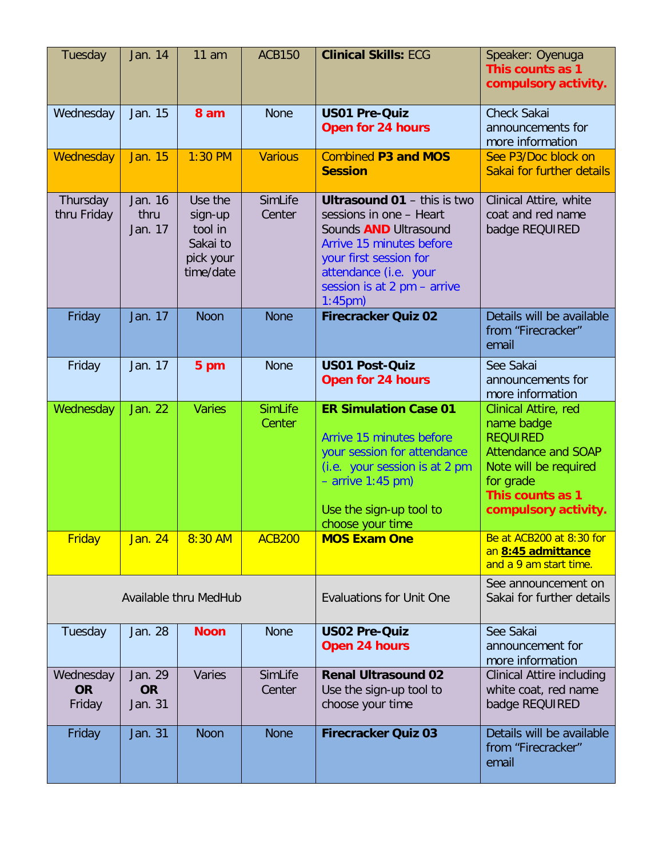| Tuesday                          | Jan. 14                         | $11$ am                                                             | <b>ACB150</b>            | <b>Clinical Skills: ECG</b>                                                                                                                                                                                                  | Speaker: Oyenuga<br>This counts as 1<br>compulsory activity.                                                                                                                 |
|----------------------------------|---------------------------------|---------------------------------------------------------------------|--------------------------|------------------------------------------------------------------------------------------------------------------------------------------------------------------------------------------------------------------------------|------------------------------------------------------------------------------------------------------------------------------------------------------------------------------|
| Wednesday                        | Jan. 15                         | 8 am                                                                | <b>None</b>              | <b>US01 Pre-Quiz</b><br><b>Open for 24 hours</b>                                                                                                                                                                             | <b>Check Sakai</b><br>announcements for<br>more information                                                                                                                  |
| Wednesday                        | Jan. 15                         | $1:30$ PM                                                           | <b>Various</b>           | <b>Combined P3 and MOS</b><br><b>Session</b>                                                                                                                                                                                 | See P3/Doc block on<br>Sakai for further details                                                                                                                             |
| Thursday<br>thru Friday          | Jan. 16<br>thru<br>Jan. 17      | Use the<br>sign-up<br>tool in<br>Sakai to<br>pick your<br>time/date | SimLife<br>Center        | <b>Ultrasound 01 - this is two</b><br>sessions in one - Heart<br>Sounds <b>AND</b> Ultrasound<br>Arrive 15 minutes before<br>your first session for<br>attendance (i.e. your<br>session is at 2 pm - arrive<br>$1:45$ pm $)$ | Clinical Attire, white<br>coat and red name<br>badge REQUIRED                                                                                                                |
| Friday                           | Jan. 17                         | <b>Noon</b>                                                         | <b>None</b>              | <b>Firecracker Quiz 02</b>                                                                                                                                                                                                   | Details will be available<br>from "Firecracker"<br>email                                                                                                                     |
| Friday                           | Jan. 17                         | 5 pm                                                                | <b>None</b>              | <b>US01 Post-Quiz</b><br><b>Open for 24 hours</b>                                                                                                                                                                            | See Sakai<br>announcements for<br>more information                                                                                                                           |
| Wednesday                        | Jan. 22                         | <b>Varies</b>                                                       | <b>SimLife</b><br>Center | <b>ER Simulation Case 01</b><br>Arrive 15 minutes before<br>your session for attendance<br>(i.e. your session is at 2 pm<br>$-$ arrive 1:45 pm)<br>Use the sign-up tool to<br>choose your time                               | <b>Clinical Attire, red</b><br>name badge<br><b>REQUIRED</b><br><b>Attendance and SOAP</b><br>Note will be required<br>for grade<br>This counts as 1<br>compulsory activity. |
| <b>Friday</b>                    | Jan. 24                         | 8:30 AM                                                             | <b>ACB200</b>            | <b>MOS Exam One</b>                                                                                                                                                                                                          | Be at ACB200 at 8:30 for<br>an 8:45 admittance<br>and a 9 am start time.                                                                                                     |
| Available thru MedHub            |                                 |                                                                     |                          | <b>Evaluations for Unit One</b>                                                                                                                                                                                              | See announcement on<br>Sakai for further details                                                                                                                             |
| Tuesday                          | Jan. 28                         | <b>Noon</b>                                                         | <b>None</b>              | <b>US02 Pre-Quiz</b><br>Open 24 hours                                                                                                                                                                                        | See Sakai<br>announcement for<br>more information                                                                                                                            |
| Wednesday<br><b>OR</b><br>Friday | Jan. 29<br><b>OR</b><br>Jan. 31 | Varies                                                              | SimLife<br>Center        | <b>Renal Ultrasound 02</b><br>Use the sign-up tool to<br>choose your time                                                                                                                                                    | <b>Clinical Attire including</b><br>white coat, red name<br>badge REQUIRED                                                                                                   |
| Friday                           | Jan. 31                         | <b>Noon</b>                                                         | <b>None</b>              | <b>Firecracker Quiz 03</b>                                                                                                                                                                                                   | Details will be available<br>from "Firecracker"<br>email                                                                                                                     |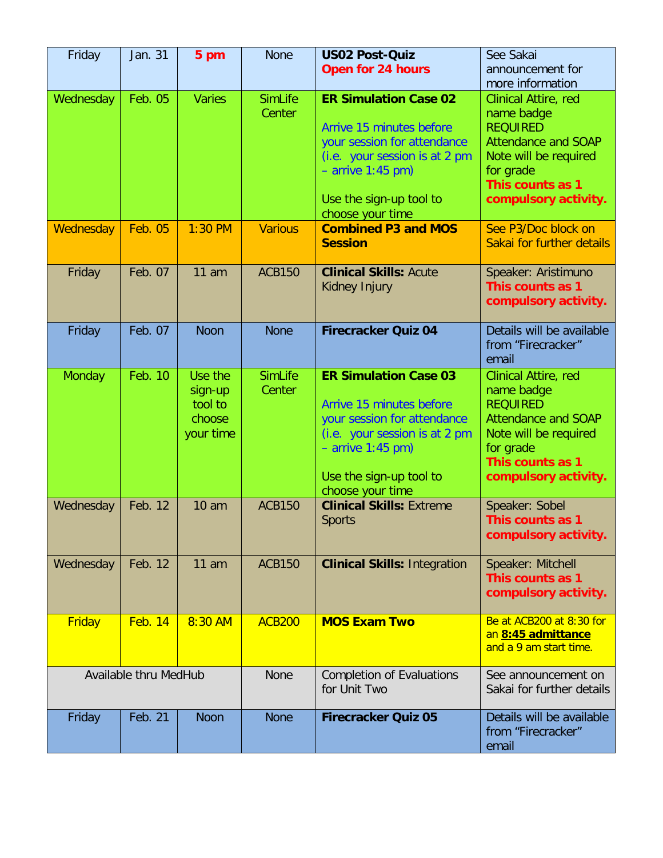| Friday                | Jan. 31        | 5 pm                                                 | <b>None</b>                                      | <b>US02 Post-Quiz</b><br><b>Open for 24 hours</b>                                                                                                                                              | See Sakai<br>announcement for<br>more information                                                                                                                     |
|-----------------------|----------------|------------------------------------------------------|--------------------------------------------------|------------------------------------------------------------------------------------------------------------------------------------------------------------------------------------------------|-----------------------------------------------------------------------------------------------------------------------------------------------------------------------|
| Wednesday             | Feb. 05        | <b>Varies</b>                                        | <b>SimLife</b><br>Center                         | <b>ER Simulation Case 02</b><br>Arrive 15 minutes before<br>your session for attendance<br>(i.e. your session is at 2 pm<br>$-$ arrive 1:45 pm)<br>Use the sign-up tool to<br>choose your time | Clinical Attire, red<br>name badge<br><b>REQUIRED</b><br><b>Attendance and SOAP</b><br>Note will be required<br>for grade<br>This counts as 1<br>compulsory activity. |
| Wednesday             | <b>Feb. 05</b> | $1:30$ PM                                            | <b>Various</b>                                   | <b>Combined P3 and MOS</b><br><b>Session</b>                                                                                                                                                   | See P3/Doc block on<br>Sakai for further details                                                                                                                      |
| Friday                | Feb. 07        | 11 am                                                | <b>ACB150</b>                                    | <b>Clinical Skills: Acute</b><br>Kidney Injury                                                                                                                                                 | Speaker: Aristimuno<br>This counts as 1<br>compulsory activity.                                                                                                       |
| Friday                | Feb. 07        | <b>Noon</b>                                          | <b>None</b>                                      | <b>Firecracker Quiz 04</b>                                                                                                                                                                     | Details will be available<br>from "Firecracker"<br>email                                                                                                              |
| Monday                | Feb. 10        | Use the<br>sign-up<br>tool to<br>choose<br>your time | <b>SimLife</b><br>Center                         | <b>ER Simulation Case 03</b><br>Arrive 15 minutes before<br>your session for attendance<br>(i.e. your session is at 2 pm<br>$-$ arrive 1:45 pm)<br>Use the sign-up tool to<br>choose your time | Clinical Attire, red<br>name badge<br><b>REQUIRED</b><br><b>Attendance and SOAP</b><br>Note will be required<br>for grade<br>This counts as 1<br>compulsory activity. |
| Wednesday             | Feb. 12        | 10 <sub>am</sub>                                     | <b>ACB150</b>                                    | <b>Clinical Skills: Extreme</b><br><b>Sports</b>                                                                                                                                               | Speaker: Sobel<br>This counts as 1<br>compulsory activity.                                                                                                            |
| Wednesday             | Feb. 12        | $11$ am                                              | <b>ACB150</b>                                    | <b>Clinical Skills: Integration</b>                                                                                                                                                            | Speaker: Mitchell<br>This counts as 1<br>compulsory activity.                                                                                                         |
| <b>Friday</b>         | <b>Feb. 14</b> | 8:30 AM                                              | <b>ACB200</b>                                    | <b>MOS Exam Two</b>                                                                                                                                                                            | Be at ACB200 at 8:30 for<br>an 8:45 admittance<br>and a 9 am start time.                                                                                              |
| Available thru MedHub |                | <b>None</b>                                          | <b>Completion of Evaluations</b><br>for Unit Two | See announcement on<br>Sakai for further details                                                                                                                                               |                                                                                                                                                                       |
| Friday                | Feb. 21        | <b>Noon</b>                                          | <b>None</b>                                      | <b>Firecracker Quiz 05</b>                                                                                                                                                                     | Details will be available<br>from "Firecracker"<br>email                                                                                                              |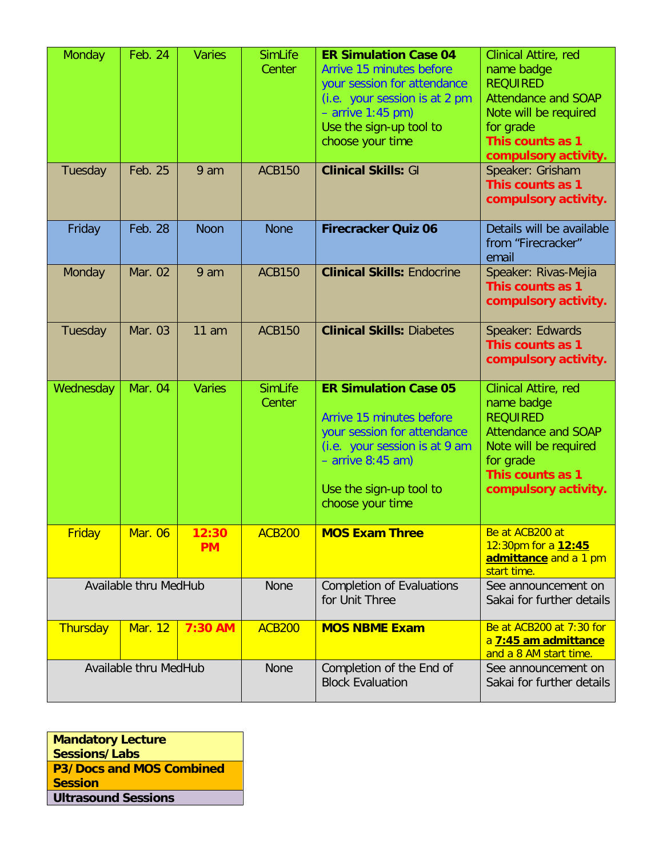| Monday        | <b>Feb. 24</b>        | <b>Varies</b> | <b>SimLife</b><br>Center | <b>ER Simulation Case 04</b><br>Arrive 15 minutes before<br>your session for attendance<br>(i.e. your session is at 2 pm<br>$-$ arrive 1:45 pm)<br>Use the sign-up tool to<br>choose your time | Clinical Attire, red<br>name badge<br><b>REQUIRED</b><br><b>Attendance and SOAP</b><br>Note will be required<br>for grade<br>This counts as 1<br>compulsory activity. |
|---------------|-----------------------|---------------|--------------------------|------------------------------------------------------------------------------------------------------------------------------------------------------------------------------------------------|-----------------------------------------------------------------------------------------------------------------------------------------------------------------------|
| Tuesday       | Feb. 25               | 9 am          | <b>ACB150</b>            | <b>Clinical Skills: GI</b>                                                                                                                                                                     | Speaker: Grisham<br>This counts as 1<br>compulsory activity.                                                                                                          |
| Friday        | Feb. 28               | <b>Noon</b>   | <b>None</b>              | <b>Firecracker Quiz 06</b>                                                                                                                                                                     | Details will be available<br>from "Firecracker"<br>email                                                                                                              |
| Monday        | Mar. 02               | 9 am          | <b>ACB150</b>            | <b>Clinical Skills: Endocrine</b>                                                                                                                                                              | Speaker: Rivas-Mejia<br>This counts as 1<br>compulsory activity.                                                                                                      |
| Tuesday       | Mar. 03               | 11 am         | <b>ACB150</b>            | <b>Clinical Skills: Diabetes</b>                                                                                                                                                               | Speaker: Edwards<br>This counts as 1<br>compulsory activity.                                                                                                          |
| Wednesday     | <b>Mar. 04</b>        | <b>Varies</b> | <b>SimLife</b><br>Center | <b>ER Simulation Case 05</b><br>Arrive 15 minutes before<br>your session for attendance<br>(i.e. your session is at 9 am<br>$-$ arrive 8:45 am)<br>Use the sign-up tool to<br>choose your time | Clinical Attire, red<br>name badge<br><b>REQUIRED</b><br><b>Attendance and SOAP</b><br>Note will be required<br>for grade<br>This counts as 1<br>compulsory activity. |
| <b>Friday</b> | <u> Mar. 06</u>       | 12:30         | <b>ACB200</b>            | <b>MOS Exam Three</b>                                                                                                                                                                          | Be at ACB200 at                                                                                                                                                       |
|               |                       | <b>PM</b>     |                          |                                                                                                                                                                                                | 12:30pm for a 12:45<br>admittance and a 1 pm<br>start time.                                                                                                           |
|               | Available thru MedHub |               | <b>None</b>              | <b>Completion of Evaluations</b><br>for Unit Three                                                                                                                                             | See announcement on<br>Sakai for further details                                                                                                                      |
| Thursday      | <b>Mar. 12</b>        | 7:30 AM       | <b>ACB200</b>            | <b>MOS NBME Exam</b>                                                                                                                                                                           | Be at ACB200 at 7:30 for<br>a 7:45 am admittance<br>and a 8 AM start time.                                                                                            |

**Mandatory Lecture Sessions/Labs P3/Docs and MOS Combined Session Ultrasound Sessions**